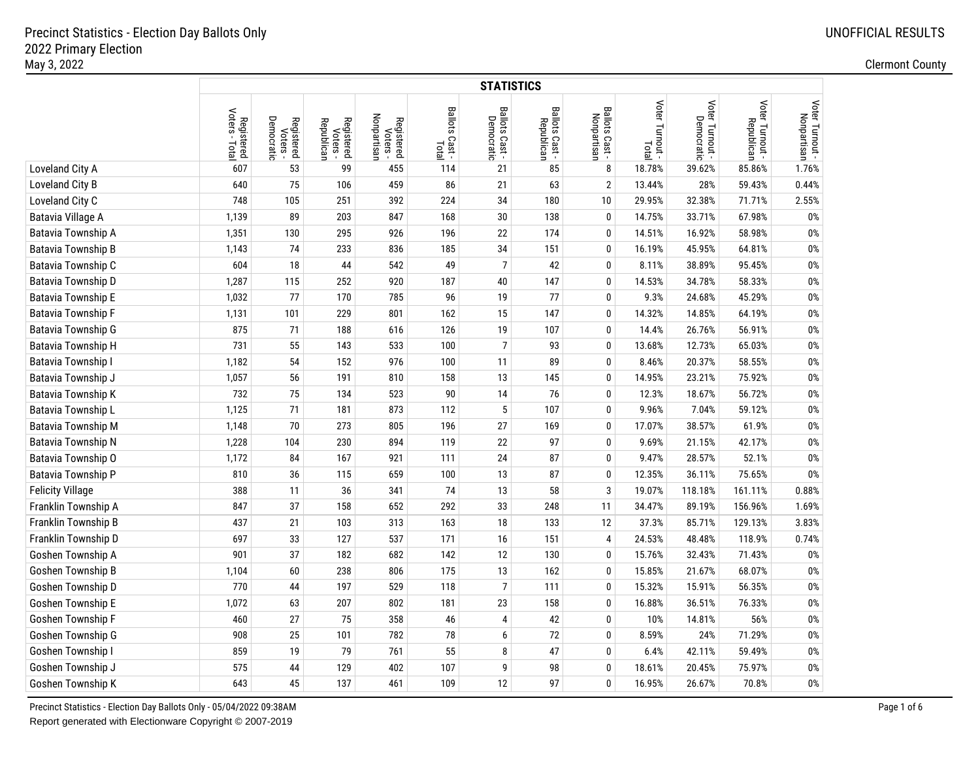|                           |                                       |                                      |                                      |                                       |                       | <b>STATISTICS</b>            |                              |                               |                 |                 |                               |                                |
|---------------------------|---------------------------------------|--------------------------------------|--------------------------------------|---------------------------------------|-----------------------|------------------------------|------------------------------|-------------------------------|-----------------|-----------------|-------------------------------|--------------------------------|
|                           | Voters<br>Registered<br>oters - Total | Democratic<br>Registered<br>Voters - | Registered<br>Voters -<br>Republican | Nonpartisan<br>Registered<br>Voters - | Ballots Cast<br>Total | Ballots Cast -<br>Democratic | Ballots Cast -<br>Republican | Ballots Cast -<br>Nonpartisan | Voter Turnout - | Voter Turnout - | Voter Turnout -<br>Republican | Voter Turnout -<br>Nonpartisan |
| Loveland City A           | 607                                   | 53                                   | 99                                   | 455                                   | 114                   | 21                           | 85                           | 8                             | 18.78%          | 39.62%          | 85.86%                        | 1.76%                          |
| Loveland City B           | 640                                   | 75                                   | 106                                  | 459                                   | 86                    | 21                           | 63                           | $\overline{2}$                | 13.44%          | 28%             | 59.43%                        | 0.44%                          |
| Loveland City C           | 748                                   | 105                                  | 251                                  | 392                                   | 224                   | 34                           | 180                          | 10                            | 29.95%          | 32.38%          | 71.71%                        | 2.55%                          |
| Batavia Village A         | 1,139                                 | 89                                   | 203                                  | 847                                   | 168                   | 30                           | 138                          | $\mathbf{0}$                  | 14.75%          | 33.71%          | 67.98%                        | 0%                             |
| Batavia Township A        | 1,351                                 | 130                                  | 295                                  | 926                                   | 196                   | 22                           | 174                          | $\mathbf{0}$                  | 14.51%          | 16.92%          | 58.98%                        | 0%                             |
| <b>Batavia Township B</b> | 1,143                                 | 74                                   | 233                                  | 836                                   | 185                   | 34                           | 151                          | $\mathbf{0}$                  | 16.19%          | 45.95%          | 64.81%                        | $0\%$                          |
| Batavia Township C        | 604                                   | 18                                   | 44                                   | 542                                   | 49                    | $\overline{7}$               | 42                           | 0                             | 8.11%           | 38.89%          | 95.45%                        | 0%                             |
| Batavia Township D        | 1,287                                 | 115                                  | 252                                  | 920                                   | 187                   | $40\,$                       | 147                          | 0                             | 14.53%          | 34.78%          | 58.33%                        | $0\%$                          |
| Batavia Township E        | 1,032                                 | 77                                   | 170                                  | 785                                   | 96                    | 19                           | 77                           | $\bf{0}$                      | 9.3%            | 24.68%          | 45.29%                        | $0\%$                          |
| <b>Batavia Township F</b> | 1,131                                 | 101                                  | 229                                  | 801                                   | 162                   | 15                           | 147                          | $\mathbf{0}$                  | 14.32%          | 14.85%          | 64.19%                        | 0%                             |
| Batavia Township G        | 875                                   | 71                                   | 188                                  | 616                                   | 126                   | 19                           | 107                          | $\mathbf{0}$                  | 14.4%           | 26.76%          | 56.91%                        | 0%                             |
| Batavia Township H        | 731                                   | 55                                   | 143                                  | 533                                   | 100                   | $\overline{\mathcal{I}}$     | 93                           | $\mathbf{0}$                  | 13.68%          | 12.73%          | 65.03%                        | 0%                             |
| <b>Batavia Township I</b> | 1,182                                 | 54                                   | 152                                  | 976                                   | 100                   | 11                           | 89                           | $\mathbf{0}$                  | 8.46%           | 20.37%          | 58.55%                        | 0%                             |
| Batavia Township J        | 1,057                                 | 56                                   | 191                                  | 810                                   | 158                   | 13                           | 145                          | $\mathbf{0}$                  | 14.95%          | 23.21%          | 75.92%                        | 0%                             |
| Batavia Township K        | 732                                   | 75                                   | 134                                  | 523                                   | 90                    | 14                           | 76                           | $\mathbf{0}$                  | 12.3%           | 18.67%          | 56.72%                        | 0%                             |
| Batavia Township L        | 1,125                                 | 71                                   | 181                                  | 873                                   | 112                   | 5                            | 107                          | $\mathbf{0}$                  | 9.96%           | 7.04%           | 59.12%                        | $0\%$                          |
| Batavia Township M        | 1,148                                 | 70                                   | 273                                  | 805                                   | 196                   | 27                           | 169                          | $\mathbf{0}$                  | 17.07%          | 38.57%          | 61.9%                         | 0%                             |
| Batavia Township N        | 1,228                                 | 104                                  | 230                                  | 894                                   | 119                   | 22                           | 97                           | 0                             | 9.69%           | 21.15%          | 42.17%                        | 0%                             |
| Batavia Township O        | 1,172                                 | 84                                   | 167                                  | 921                                   | 111                   | 24                           | 87                           | $\mathbf{0}$                  | 9.47%           | 28.57%          | 52.1%                         | $0\%$                          |
| Batavia Township P        | 810                                   | 36                                   | 115                                  | 659                                   | 100                   | 13                           | 87                           | $\mathbf{0}$                  | 12.35%          | 36.11%          | 75.65%                        | 0%                             |
| <b>Felicity Village</b>   | 388                                   | 11                                   | 36                                   | 341                                   | 74                    | 13                           | 58                           | 3                             | 19.07%          | 118.18%         | 161.11%                       | 0.88%                          |
| Franklin Township A       | 847                                   | 37                                   | 158                                  | 652                                   | 292                   | 33                           | 248                          | 11                            | 34.47%          | 89.19%          | 156.96%                       | 1.69%                          |
| Franklin Township B       | 437                                   | 21                                   | 103                                  | 313                                   | 163                   | 18                           | 133                          | 12                            | 37.3%           | 85.71%          | 129.13%                       | 3.83%                          |
| Franklin Township D       | 697                                   | 33                                   | 127                                  | 537                                   | 171                   | 16                           | 151                          | $\overline{4}$                | 24.53%          | 48.48%          | 118.9%                        | 0.74%                          |
| Goshen Township A         | 901                                   | 37                                   | 182                                  | 682                                   | 142                   | 12                           | 130                          | $\mathbf{0}$                  | 15.76%          | 32.43%          | 71.43%                        | 0%                             |
| Goshen Township B         | 1,104                                 | 60                                   | 238                                  | 806                                   | 175                   | 13                           | 162                          | $\mathbf{0}$                  | 15.85%          | 21.67%          | 68.07%                        | 0%                             |
| Goshen Township D         | 770                                   | 44                                   | 197                                  | 529                                   | 118                   | $\overline{7}$               | 111                          | 0                             | 15.32%          | 15.91%          | 56.35%                        | 0%                             |
| Goshen Township E         | 1,072                                 | 63                                   | 207                                  | 802                                   | 181                   | 23                           | 158                          | 0                             | 16.88%          | 36.51%          | 76.33%                        | 0%                             |
| Goshen Township F         | 460                                   | 27                                   | 75                                   | 358                                   | 46                    | 4                            | 42                           | $\mathbf{0}$                  | 10%             | 14.81%          | 56%                           | 0%                             |
| Goshen Township G         | 908                                   | 25                                   | 101                                  | 782                                   | 78                    | 6                            | 72                           | $\mathbf{0}$                  | 8.59%           | 24%             | 71.29%                        | 0%                             |
| Goshen Township I         | 859                                   | 19                                   | 79                                   | 761                                   | 55                    | 8                            | 47                           | 0                             | 6.4%            | 42.11%          | 59.49%                        | 0%                             |
| Goshen Township J         | 575                                   | 44                                   | 129                                  | 402                                   | 107                   | 9                            | 98                           | $\mathbf{0}$                  | 18.61%          | 20.45%          | 75.97%                        | 0%                             |
| Goshen Township K         | 643                                   | 45                                   | 137                                  | 461                                   | 109                   | 12                           | 97                           | $\mathbf{0}$                  | 16.95%          | 26.67%          | 70.8%                         | 0%                             |

Precinct Statistics - Election Day Ballots Only - 05/04/2022 09:38AM Page 1 of 6 Report generated with Electionware Copyright © 2007-2019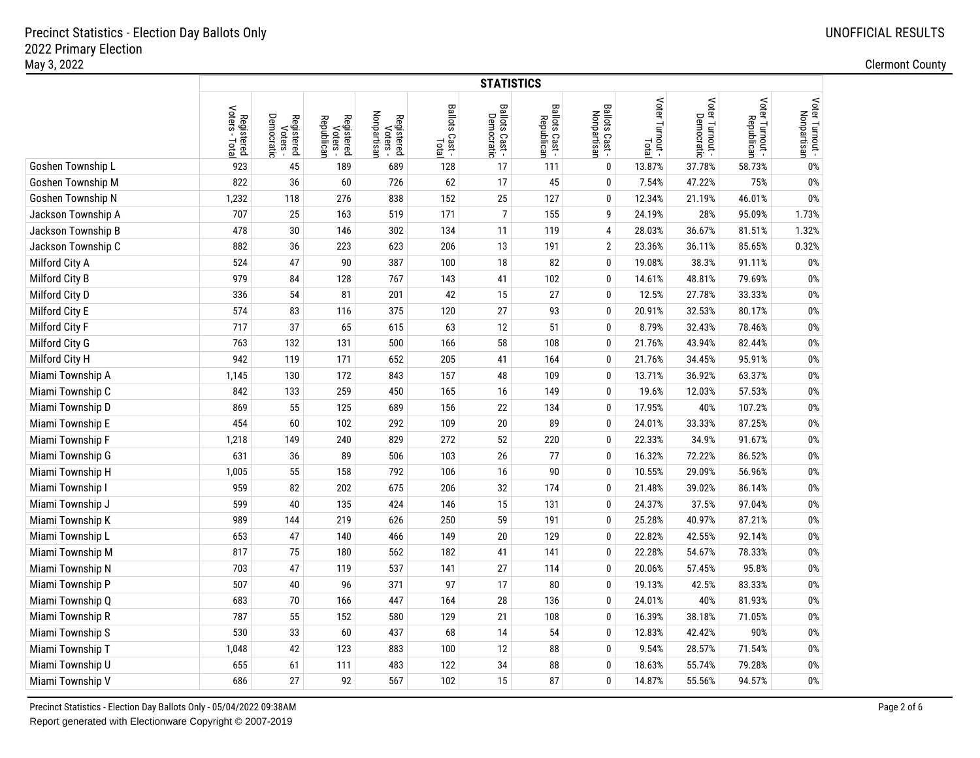|                    |                                         |                                      |                                      |                                       |                         | <b>STATISTICS</b>            |                              |                               |                          |                               |                               |                                |
|--------------------|-----------------------------------------|--------------------------------------|--------------------------------------|---------------------------------------|-------------------------|------------------------------|------------------------------|-------------------------------|--------------------------|-------------------------------|-------------------------------|--------------------------------|
|                    | Voters -<br>Registered<br>oters - Total | Democratic<br>Registered<br>Voters - | Registered<br>Voters -<br>Republican | Nonpartisan<br>Registered<br>Voters - | Ballots Cast -<br>Total | Ballots Cast -<br>Democratic | Ballots Cast -<br>Republican | Ballots Cast -<br>Nonpartisan | Voter Turnout -<br>Total | Voter Turnout -<br>Democratic | Voter Turnout -<br>Republican | Voter Turnout -<br>Nonpartisan |
| Goshen Township L  | 923                                     | 45                                   | 189                                  | 689                                   | 128                     | 17                           | 111                          | $\mathbf 0$                   | 13.87%                   | 37.78%                        | 58.73%                        | 0%                             |
| Goshen Township M  | 822                                     | 36                                   | 60                                   | 726                                   | 62                      | 17                           | 45                           | $\mathbf 0$                   | 7.54%                    | 47.22%                        | 75%                           | 0%                             |
| Goshen Township N  | 1,232                                   | 118                                  | 276                                  | 838                                   | 152                     | 25                           | 127                          | 0                             | 12.34%                   | 21.19%                        | 46.01%                        | $0\%$                          |
| Jackson Township A | 707                                     | 25                                   | 163                                  | 519                                   | 171                     | $\overline{7}$               | 155                          | 9                             | 24.19%                   | 28%                           | 95.09%                        | 1.73%                          |
| Jackson Township B | 478                                     | $30\,$                               | 146                                  | 302                                   | 134                     | 11                           | 119                          | 4                             | 28.03%                   | 36.67%                        | 81.51%                        | 1.32%                          |
| Jackson Township C | 882                                     | 36                                   | 223                                  | 623                                   | 206                     | 13                           | 191                          | $\overline{2}$                | 23.36%                   | 36.11%                        | 85.65%                        | 0.32%                          |
| Milford City A     | 524                                     | 47                                   | 90                                   | 387                                   | 100                     | 18                           | 82                           | $\mathbf 0$                   | 19.08%                   | 38.3%                         | 91.11%                        | $0\%$                          |
| Milford City B     | 979                                     | 84                                   | 128                                  | 767                                   | 143                     | 41                           | 102                          | $\mathbf 0$                   | 14.61%                   | 48.81%                        | 79.69%                        | $0\%$                          |
| Milford City D     | 336                                     | 54                                   | 81                                   | 201                                   | 42                      | 15                           | 27                           | $\mathbf 0$                   | 12.5%                    | 27.78%                        | 33.33%                        | $0\%$                          |
| Milford City E     | 574                                     | 83                                   | 116                                  | 375                                   | 120                     | 27                           | 93                           | $\mathbf 0$                   | 20.91%                   | 32.53%                        | 80.17%                        | $0\%$                          |
| Milford City F     | 717                                     | 37                                   | 65                                   | 615                                   | 63                      | 12                           | 51                           | $\mathbf 0$                   | 8.79%                    | 32.43%                        | 78.46%                        | $0\%$                          |
| Milford City G     | 763                                     | 132                                  | 131                                  | 500                                   | 166                     | 58                           | 108                          | $\mathbf 0$                   | 21.76%                   | 43.94%                        | 82.44%                        | $0\%$                          |
| Milford City H     | 942                                     | 119                                  | 171                                  | 652                                   | 205                     | 41                           | 164                          | 0                             | 21.76%                   | 34.45%                        | 95.91%                        | $0\%$                          |
| Miami Township A   | 1,145                                   | 130                                  | 172                                  | 843                                   | 157                     | 48                           | 109                          | $\mathbf 0$                   | 13.71%                   | 36.92%                        | 63.37%                        | $0\%$                          |
| Miami Township C   | 842                                     | 133                                  | 259                                  | 450                                   | 165                     | 16                           | 149                          | $\mathbf 0$                   | 19.6%                    | 12.03%                        | 57.53%                        | $0\%$                          |
| Miami Township D   | 869                                     | 55                                   | 125                                  | 689                                   | 156                     | 22                           | 134                          | $\pmb{0}$                     | 17.95%                   | 40%                           | 107.2%                        | $0\%$                          |
| Miami Township E   | 454                                     | 60                                   | 102                                  | 292                                   | 109                     | 20                           | 89                           | $\pmb{0}$                     | 24.01%                   | 33.33%                        | 87.25%                        | $0\%$                          |
| Miami Township F   | 1,218                                   | 149                                  | 240                                  | 829                                   | 272                     | 52                           | 220                          | $\mathbf 0$                   | 22.33%                   | 34.9%                         | 91.67%                        | $0\%$                          |
| Miami Township G   | 631                                     | 36                                   | 89                                   | 506                                   | 103                     | 26                           | 77                           | $\mathbf 0$                   | 16.32%                   | 72.22%                        | 86.52%                        | $0\%$                          |
| Miami Township H   | 1,005                                   | 55                                   | 158                                  | 792                                   | 106                     | 16                           | 90                           | $\mathbf 0$                   | 10.55%                   | 29.09%                        | 56.96%                        | $0\%$                          |
| Miami Township I   | 959                                     | 82                                   | 202                                  | 675                                   | 206                     | 32                           | 174                          | 0                             | 21.48%                   | 39.02%                        | 86.14%                        | $0\%$                          |
| Miami Township J   | 599                                     | $40\,$                               | 135                                  | 424                                   | 146                     | 15                           | 131                          | 0                             | 24.37%                   | 37.5%                         | 97.04%                        | $0\%$                          |
| Miami Township K   | 989                                     | 144                                  | 219                                  | 626                                   | 250                     | 59                           | 191                          | 0                             | 25.28%                   | 40.97%                        | 87.21%                        | 0%                             |
| Miami Township L   | 653                                     | 47                                   | 140                                  | 466                                   | 149                     | 20                           | 129                          | $\mathbf 0$                   | 22.82%                   | 42.55%                        | 92.14%                        | $0\%$                          |
| Miami Township M   | 817                                     | 75                                   | 180                                  | 562                                   | 182                     | 41                           | 141                          | $\mathbf 0$                   | 22.28%                   | 54.67%                        | 78.33%                        | $0\%$                          |
| Miami Township N   | 703                                     | 47                                   | 119                                  | 537                                   | 141                     | 27                           | 114                          | $\mathbf 0$                   | 20.06%                   | 57.45%                        | 95.8%                         | $0\%$                          |
| Miami Township P   | 507                                     | $40\,$                               | 96                                   | 371                                   | 97                      | 17                           | 80                           | $\mathbf 0$                   | 19.13%                   | 42.5%                         | 83.33%                        | $0\%$                          |
| Miami Township Q   | 683                                     | 70                                   | 166                                  | 447                                   | 164                     | 28                           | 136                          | $\mathbf{0}$                  | 24.01%                   | 40%                           | 81.93%                        | $0\%$                          |
| Miami Township R   | 787                                     | 55                                   | 152                                  | 580                                   | 129                     | 21                           | 108                          | 0                             | 16.39%                   | 38.18%                        | 71.05%                        | 0%                             |
| Miami Township S   | 530                                     | 33                                   | 60                                   | 437                                   | 68                      | 14                           | 54                           | 0                             | 12.83%                   | 42.42%                        | 90%                           | 0%                             |
| Miami Township T   | 1,048                                   | 42                                   | 123                                  | 883                                   | 100                     | 12                           | 88                           | 0                             | 9.54%                    | 28.57%                        | 71.54%                        | $0\%$                          |
| Miami Township U   | 655                                     | 61                                   | 111                                  | 483                                   | 122                     | 34                           | 88                           | 0                             | 18.63%                   | 55.74%                        | 79.28%                        | $0\%$                          |
| Miami Township V   | 686                                     | 27                                   | 92                                   | 567                                   | 102                     | 15                           | 87                           | $\mathbf{0}$                  | 14.87%                   | 55.56%                        | 94.57%                        | 0%                             |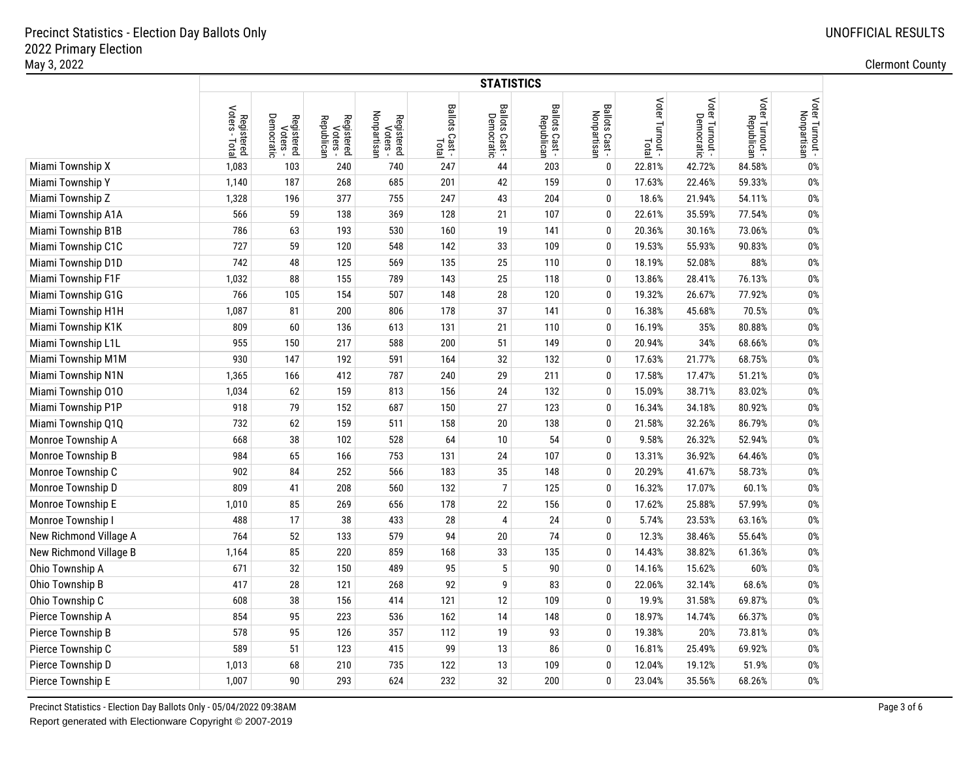|                        |                                         |                                      |                                      |                                       |                          | <b>STATISTICS</b>            |                              |                               |                          |                 |                               |                                |
|------------------------|-----------------------------------------|--------------------------------------|--------------------------------------|---------------------------------------|--------------------------|------------------------------|------------------------------|-------------------------------|--------------------------|-----------------|-------------------------------|--------------------------------|
|                        | Voters -<br>Registered<br>oters - Total | Democratic<br>Registered<br>Voters - | Registered<br>Voters -<br>Republican | Nonpartisan<br>Registered<br>Voters - | Ballots Cast -  <br>Tota | Ballots Cast -<br>Democratic | Ballots Cast -<br>Republican | Ballots Cast -<br>Nonpartisan | Voter Turnout -<br>Total | Voter Turnout - | Voter Turnout -<br>Republican | Voter Turnout -<br>Nonpartisan |
| Miami Township X       | 1,083                                   | 103                                  | 240                                  | 740                                   | 247                      | 44                           | 203                          | 0                             | 22.81%                   | 42.72%          | 84.58%                        | $0\%$                          |
| Miami Township Y       | 1,140                                   | 187                                  | 268                                  | 685                                   | 201                      | 42                           | 159                          | 0                             | 17.63%                   | 22.46%          | 59.33%                        | $0\%$                          |
| Miami Township Z       | 1,328                                   | 196                                  | 377                                  | 755                                   | 247                      | 43                           | 204                          | 0                             | 18.6%                    | 21.94%          | 54.11%                        | $0\%$                          |
| Miami Township A1A     | 566                                     | 59                                   | 138                                  | 369                                   | 128                      | 21                           | 107                          | 0                             | 22.61%                   | 35.59%          | 77.54%                        | $0\%$                          |
| Miami Township B1B     | 786                                     | 63                                   | 193                                  | 530                                   | 160                      | 19                           | 141                          | 0                             | 20.36%                   | 30.16%          | 73.06%                        | $0\%$                          |
| Miami Township C1C     | 727                                     | 59                                   | 120                                  | 548                                   | 142                      | 33                           | 109                          | 0                             | 19.53%                   | 55.93%          | 90.83%                        | $0\%$                          |
| Miami Township D1D     | 742                                     | 48                                   | 125                                  | 569                                   | 135                      | 25                           | 110                          | 0                             | 18.19%                   | 52.08%          | 88%                           | $0\%$                          |
| Miami Township F1F     | 1,032                                   | 88                                   | 155                                  | 789                                   | 143                      | 25                           | 118                          | $\mathbf{0}$                  | 13.86%                   | 28.41%          | 76.13%                        | $0\%$                          |
| Miami Township G1G     | 766                                     | 105                                  | 154                                  | 507                                   | 148                      | 28                           | 120                          | 0                             | 19.32%                   | 26.67%          | 77.92%                        | $0\%$                          |
| Miami Township H1H     | 1,087                                   | 81                                   | 200                                  | 806                                   | 178                      | 37                           | 141                          | $\mathbf{0}$                  | 16.38%                   | 45.68%          | 70.5%                         | $0\%$                          |
| Miami Township K1K     | 809                                     | 60                                   | 136                                  | 613                                   | 131                      | 21                           | 110                          | $\mathbf{0}$                  | 16.19%                   | 35%             | 80.88%                        | $0\%$                          |
| Miami Township L1L     | 955                                     | 150                                  | 217                                  | 588                                   | 200                      | 51                           | 149                          | $\mathbf{0}$                  | 20.94%                   | 34%             | 68.66%                        | $0\%$                          |
| Miami Township M1M     | 930                                     | 147                                  | 192                                  | 591                                   | 164                      | 32                           | 132                          | $\mathbf{0}$                  | 17.63%                   | 21.77%          | 68.75%                        | $0\%$                          |
| Miami Township N1N     | 1,365                                   | 166                                  | 412                                  | 787                                   | 240                      | 29                           | 211                          | 0                             | 17.58%                   | 17.47%          | 51.21%                        | $0\%$                          |
| Miami Township 010     | 1,034                                   | 62                                   | 159                                  | 813                                   | 156                      | 24                           | 132                          | $\mathbf{0}$                  | 15.09%                   | 38.71%          | 83.02%                        | $0\%$                          |
| Miami Township P1P     | 918                                     | 79                                   | 152                                  | 687                                   | 150                      | 27                           | 123                          | $\pmb{0}$                     | 16.34%                   | 34.18%          | 80.92%                        | $0\%$                          |
| Miami Township Q1Q     | 732                                     | 62                                   | 159                                  | 511                                   | 158                      | 20                           | 138                          | $\pmb{0}$                     | 21.58%                   | 32.26%          | 86.79%                        | $0\%$                          |
| Monroe Township A      | 668                                     | 38                                   | 102                                  | 528                                   | 64                       | 10                           | 54                           | 0                             | 9.58%                    | 26.32%          | 52.94%                        | $0\%$                          |
| Monroe Township B      | 984                                     | 65                                   | 166                                  | 753                                   | 131                      | 24                           | 107                          | $\mathbf{0}$                  | 13.31%                   | 36.92%          | 64.46%                        | $0\%$                          |
| Monroe Township C      | 902                                     | 84                                   | 252                                  | 566                                   | 183                      | 35                           | 148                          | 0                             | 20.29%                   | 41.67%          | 58.73%                        | $0\%$                          |
| Monroe Township D      | 809                                     | 41                                   | 208                                  | 560                                   | 132                      | $\overline{7}$               | 125                          | 0                             | 16.32%                   | 17.07%          | 60.1%                         | $0\%$                          |
| Monroe Township E      | 1,010                                   | 85                                   | 269                                  | 656                                   | 178                      | 22                           | 156                          | 0                             | 17.62%                   | 25.88%          | 57.99%                        | $0\%$                          |
| Monroe Township I      | 488                                     | 17                                   | 38                                   | 433                                   | 28                       | $\overline{4}$               | 24                           | 0                             | 5.74%                    | 23.53%          | 63.16%                        | $0\%$                          |
| New Richmond Village A | 764                                     | 52                                   | 133                                  | 579                                   | 94                       | 20                           | 74                           | 0                             | 12.3%                    | 38.46%          | 55.64%                        | $0\%$                          |
| New Richmond Village B | 1,164                                   | 85                                   | 220                                  | 859                                   | 168                      | 33                           | 135                          | $\mathbf{0}$                  | 14.43%                   | 38.82%          | 61.36%                        | $0\%$                          |
| Ohio Township A        | 671                                     | 32                                   | 150                                  | 489                                   | 95                       | 5                            | 90                           | $\mathbf{0}$                  | 14.16%                   | 15.62%          | 60%                           | $0\%$                          |
| Ohio Township B        | 417                                     | 28                                   | 121                                  | 268                                   | 92                       | 9                            | 83                           | 0                             | 22.06%                   | 32.14%          | 68.6%                         | $0\%$                          |
| Ohio Township C        | 608                                     | $38\,$                               | 156                                  | 414                                   | 121                      | 12                           | 109                          | 0                             | 19.9%                    | 31.58%          | 69.87%                        | $0\%$                          |
| Pierce Township A      | 854                                     | 95                                   | 223                                  | 536                                   | 162                      | 14                           | 148                          | $\mathbf{0}$                  | 18.97%                   | 14.74%          | 66.37%                        | $0\%$                          |
| Pierce Township B      | 578                                     | 95                                   | 126                                  | 357                                   | 112                      | 19                           | 93                           | 0                             | 19.38%                   | 20%             | 73.81%                        | $0\%$                          |
| Pierce Township C      | 589                                     | 51                                   | 123                                  | 415                                   | 99                       | 13                           | 86                           | $\pmb{0}$                     | 16.81%                   | 25.49%          | 69.92%                        | $0\%$                          |
| Pierce Township D      | 1,013                                   | 68                                   | 210                                  | 735                                   | 122                      | 13                           | 109                          | $\mathbf{0}$                  | 12.04%                   | 19.12%          | 51.9%                         | $0\%$                          |
| Pierce Township E      | 1,007                                   | 90                                   | 293                                  | 624                                   | 232                      | 32                           | 200                          | $\mathbf{0}$                  | 23.04%                   | 35.56%          | 68.26%                        | 0%                             |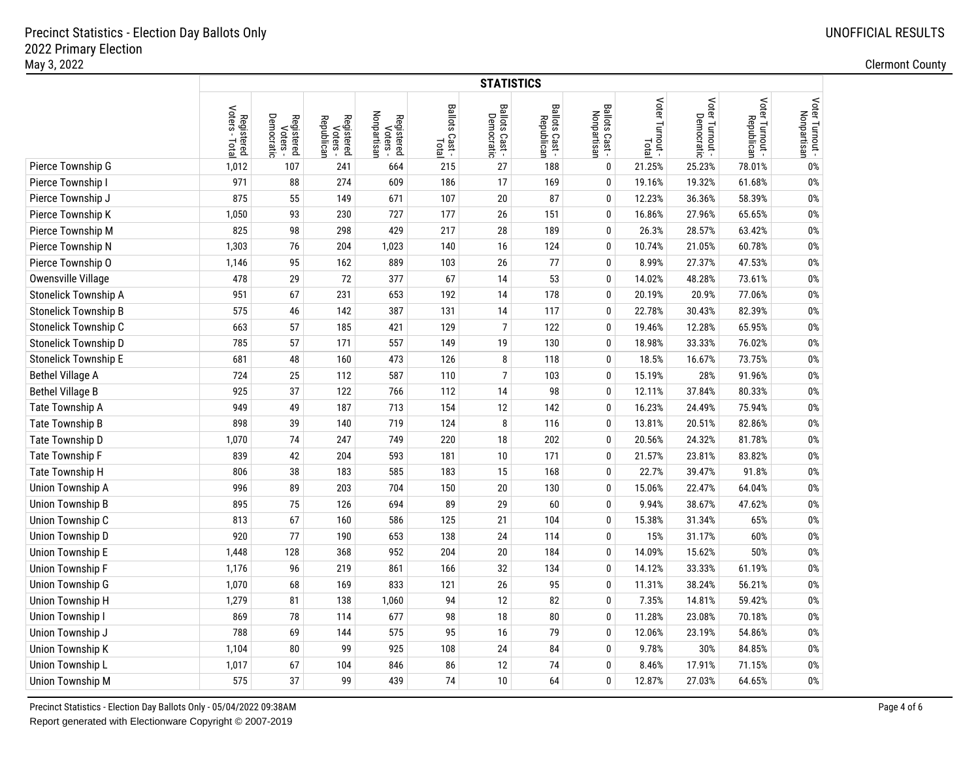|                             |                              |                                      |                                      |                                       |                         | <b>STATISTICS</b>            |                              |                               |                          |                 |                               |                                |
|-----------------------------|------------------------------|--------------------------------------|--------------------------------------|---------------------------------------|-------------------------|------------------------------|------------------------------|-------------------------------|--------------------------|-----------------|-------------------------------|--------------------------------|
|                             | Registered<br>Voters - Total | Democratic<br>Registered<br>Voters - | Registered<br>Voters -<br>Republican | Nonpartisan<br>Registered<br>Voters - | Ballots Cast -<br>Total | Ballots Cast -<br>Democratic | Ballots Cast -<br>Republican | Ballots Cast -<br>Nonpartisan | Voter Turnout -<br>Total | Voter Turnout - | Voter Turnout -<br>Republican | Voter Turnout -<br>Nonpartisan |
| Pierce Township G           | 1,012                        | 107                                  | 241                                  | 664                                   | 215                     | 27                           | 188                          | $\mathbf 0$                   | 21.25%                   | 25.23%          | 78.01%                        | 0%                             |
| Pierce Township I           | 971                          | 88                                   | 274                                  | 609                                   | 186                     | 17                           | 169                          | $\mathbf 0$                   | 19.16%                   | 19.32%          | 61.68%                        | $0\%$                          |
| Pierce Township J           | 875                          | 55                                   | 149                                  | 671                                   | 107                     | 20                           | 87                           | 0                             | 12.23%                   | 36.36%          | 58.39%                        | $0\%$                          |
| Pierce Township K           | 1,050                        | 93                                   | 230                                  | 727                                   | 177                     | 26                           | 151                          | $\mathbf 0$                   | 16.86%                   | 27.96%          | 65.65%                        | $0\%$                          |
| Pierce Township M           | 825                          | 98                                   | 298                                  | 429                                   | 217                     | 28                           | 189                          | 0                             | 26.3%                    | 28.57%          | 63.42%                        | $0\%$                          |
| Pierce Township N           | 1,303                        | 76                                   | 204                                  | 1,023                                 | 140                     | 16                           | 124                          | $\mathbf 0$                   | 10.74%                   | 21.05%          | 60.78%                        | $0\%$                          |
| Pierce Township O           | 1,146                        | 95                                   | 162                                  | 889                                   | 103                     | 26                           | 77                           | $\mathbf 0$                   | 8.99%                    | 27.37%          | 47.53%                        | $0\%$                          |
| Owensville Village          | 478                          | 29                                   | 72                                   | 377                                   | 67                      | 14                           | 53                           | $\bf{0}$                      | 14.02%                   | 48.28%          | 73.61%                        | $0\%$                          |
| Stonelick Township A        | 951                          | 67                                   | 231                                  | 653                                   | 192                     | 14                           | 178                          | $\bf{0}$                      | 20.19%                   | 20.9%           | 77.06%                        | $0\%$                          |
| <b>Stonelick Township B</b> | 575                          | 46                                   | 142                                  | 387                                   | 131                     | 14                           | 117                          | $\bf{0}$                      | 22.78%                   | 30.43%          | 82.39%                        | $0\%$                          |
| Stonelick Township C        | 663                          | 57                                   | 185                                  | 421                                   | 129                     | $\overline{7}$               | 122                          | $\bf{0}$                      | 19.46%                   | 12.28%          | 65.95%                        | $0\%$                          |
| Stonelick Township D        | 785                          | 57                                   | 171                                  | 557                                   | 149                     | 19                           | 130                          | $\bf{0}$                      | 18.98%                   | 33.33%          | 76.02%                        | $0\%$                          |
| <b>Stonelick Township E</b> | 681                          | 48                                   | 160                                  | 473                                   | 126                     | 8                            | 118                          | 0                             | 18.5%                    | 16.67%          | 73.75%                        | $0\%$                          |
| <b>Bethel Village A</b>     | 724                          | 25                                   | 112                                  | 587                                   | 110                     | $\overline{7}$               | 103                          | $\bf{0}$                      | 15.19%                   | 28%             | 91.96%                        | $0\%$                          |
| <b>Bethel Village B</b>     | 925                          | 37                                   | 122                                  | 766                                   | 112                     | 14                           | 98                           | $\bf{0}$                      | 12.11%                   | 37.84%          | 80.33%                        | $0\%$                          |
| Tate Township A             | 949                          | 49                                   | 187                                  | 713                                   | 154                     | 12                           | 142                          | $\pmb{0}$                     | 16.23%                   | 24.49%          | 75.94%                        | $0\%$                          |
| Tate Township B             | 898                          | 39                                   | 140                                  | 719                                   | 124                     | 8                            | 116                          | $\mathbf 0$                   | 13.81%                   | 20.51%          | 82.86%                        | $0\%$                          |
| Tate Township D             | 1,070                        | 74                                   | 247                                  | 749                                   | 220                     | 18                           | 202                          | $\mathbf 0$                   | 20.56%                   | 24.32%          | 81.78%                        | $0\%$                          |
| Tate Township F             | 839                          | 42                                   | 204                                  | 593                                   | 181                     | 10                           | 171                          | $\mathbf 0$                   | 21.57%                   | 23.81%          | 83.82%                        | $0\%$                          |
| Tate Township H             | 806                          | 38                                   | 183                                  | 585                                   | 183                     | 15                           | 168                          | $\mathbf 0$                   | 22.7%                    | 39.47%          | 91.8%                         | $0\%$                          |
| Union Township A            | 996                          | 89                                   | 203                                  | 704                                   | 150                     | 20                           | 130                          | 0                             | 15.06%                   | 22.47%          | 64.04%                        | $0\%$                          |
| <b>Union Township B</b>     | 895                          | 75                                   | 126                                  | 694                                   | 89                      | 29                           | 60                           | $\mathbf 0$                   | 9.94%                    | 38.67%          | 47.62%                        | 0%                             |
| Union Township C            | 813                          | 67                                   | 160                                  | 586                                   | 125                     | 21                           | 104                          | $\bf{0}$                      | 15.38%                   | 31.34%          | 65%                           | 0%                             |
| Union Township D            | 920                          | 77                                   | 190                                  | 653                                   | 138                     | 24                           | 114                          | $\mathbf 0$                   | 15%                      | 31.17%          | 60%                           | $0\%$                          |
| <b>Union Township E</b>     | 1,448                        | 128                                  | 368                                  | 952                                   | 204                     | 20                           | 184                          | $\mathbf 0$                   | 14.09%                   | 15.62%          | 50%                           | $0\%$                          |
| <b>Union Township F</b>     | 1,176                        | 96                                   | 219                                  | 861                                   | 166                     | 32                           | 134                          | $\mathbf 0$                   | 14.12%                   | 33.33%          | 61.19%                        | $0\%$                          |
| <b>Union Township G</b>     | 1,070                        | 68                                   | 169                                  | 833                                   | 121                     | 26                           | 95                           | 0                             | 11.31%                   | 38.24%          | 56.21%                        | $0\%$                          |
| Union Township H            | 1,279                        | 81                                   | 138                                  | 1,060                                 | 94                      | 12                           | 82                           | $\mathbf 0$                   | 7.35%                    | 14.81%          | 59.42%                        | 0%                             |
| <b>Union Township I</b>     | 869                          | 78                                   | 114                                  | 677                                   | 98                      | 18                           | 80                           | $\mathbf{0}$                  | 11.28%                   | 23.08%          | 70.18%                        | 0%                             |
| Union Township J            | 788                          | 69                                   | 144                                  | 575                                   | 95                      | 16                           | 79                           | 0                             | 12.06%                   | 23.19%          | 54.86%                        | 0%                             |
| <b>Union Township K</b>     | 1,104                        | ${\bf 80}$                           | 99                                   | 925                                   | 108                     | 24                           | 84                           | 0                             | 9.78%                    | 30%             | 84.85%                        | $0\%$                          |
| Union Township L            | 1,017                        | 67                                   | 104                                  | 846                                   | 86                      | 12                           | 74                           | 0                             | 8.46%                    | 17.91%          | 71.15%                        | $0\%$                          |
| <b>Union Township M</b>     | 575                          | 37                                   | 99                                   | 439                                   | 74                      | 10                           | 64                           | 0                             | 12.87%                   | 27.03%          | 64.65%                        | $0\%$                          |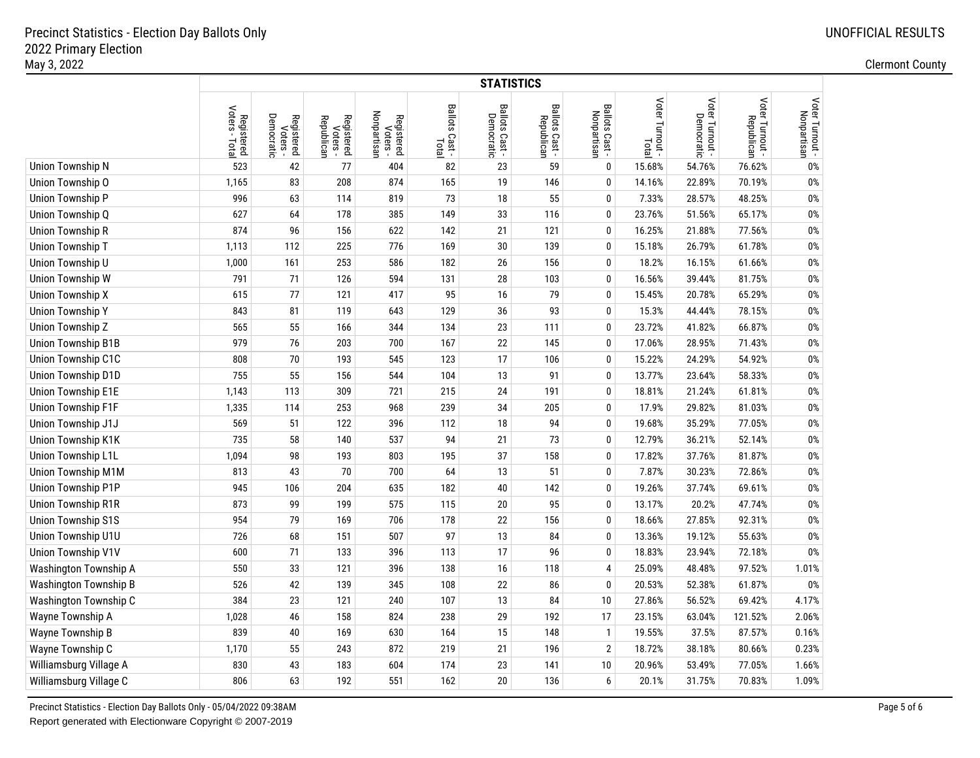|                              |                                         |                                      |                                      |                                       |                         | <b>STATISTICS</b>            |                              |                               |                          |                               |                               |                                |
|------------------------------|-----------------------------------------|--------------------------------------|--------------------------------------|---------------------------------------|-------------------------|------------------------------|------------------------------|-------------------------------|--------------------------|-------------------------------|-------------------------------|--------------------------------|
|                              | Voters -<br>Registered<br>oters - Total | Democratic<br>Registered<br>Voters - | Registered<br>Voters -<br>Republican | Nonpartisan<br>Registered<br>Voters - | Ballots Cast -<br>Total | Ballots Cast -<br>Democratic | Ballots Cast -<br>Republican | Ballots Cast -<br>Nonpartisan | Voter Turnout -<br>Total | Voter Turnout -<br>Democratic | Voter Turnout -<br>Republican | Voter Turnout -<br>Nonpartisan |
| Union Township N             | 523                                     | 42                                   | 77                                   | 404                                   | 82                      | 23                           | 59                           | $\mathbf{0}$                  | 15.68%                   | 54.76%                        | 76.62%                        | $0\%$                          |
| Union Township O             | 1,165                                   | 83                                   | 208                                  | 874                                   | 165                     | 19                           | 146                          | $\mathbf 0$                   | 14.16%                   | 22.89%                        | 70.19%                        | $0\%$                          |
| Union Township P             | 996                                     | 63                                   | 114                                  | 819                                   | 73                      | 18                           | 55                           | $\mathbf 0$                   | 7.33%                    | 28.57%                        | 48.25%                        | $0\%$                          |
| Union Township Q             | 627                                     | 64                                   | 178                                  | 385                                   | 149                     | 33                           | 116                          | $\mathbf 0$                   | 23.76%                   | 51.56%                        | 65.17%                        | 0%                             |
| <b>Union Township R</b>      | 874                                     | 96                                   | 156                                  | 622                                   | 142                     | 21                           | 121                          | $\mathbf 0$                   | 16.25%                   | 21.88%                        | 77.56%                        | 0%                             |
| Union Township T             | 1,113                                   | 112                                  | 225                                  | 776                                   | 169                     | 30                           | 139                          | 0                             | 15.18%                   | 26.79%                        | 61.78%                        | 0%                             |
| Union Township U             | 1,000                                   | 161                                  | 253                                  | 586                                   | 182                     | 26                           | 156                          | 0                             | 18.2%                    | 16.15%                        | 61.66%                        | 0%                             |
| Union Township W             | 791                                     | 71                                   | 126                                  | 594                                   | 131                     | 28                           | 103                          | 0                             | 16.56%                   | 39.44%                        | 81.75%                        | $0\%$                          |
| <b>Union Township X</b>      | 615                                     | 77                                   | 121                                  | 417                                   | 95                      | 16                           | 79                           | $\pmb{0}$                     | 15.45%                   | 20.78%                        | 65.29%                        | $0\%$                          |
| <b>Union Township Y</b>      | 843                                     | 81                                   | 119                                  | 643                                   | 129                     | 36                           | 93                           | $\mathbf 0$                   | 15.3%                    | 44.44%                        | 78.15%                        | $0\%$                          |
| Union Township Z             | 565                                     | 55                                   | 166                                  | 344                                   | 134                     | 23                           | 111                          | $\bf{0}$                      | 23.72%                   | 41.82%                        | 66.87%                        | $0\%$                          |
| <b>Union Township B1B</b>    | 979                                     | 76                                   | 203                                  | 700                                   | 167                     | 22                           | 145                          | $\bf{0}$                      | 17.06%                   | 28.95%                        | 71.43%                        | 0%                             |
| Union Township C1C           | 808                                     | 70                                   | 193                                  | 545                                   | 123                     | 17                           | 106                          | $\mathbf{0}$                  | 15.22%                   | 24.29%                        | 54.92%                        | 0%                             |
| Union Township D1D           | 755                                     | 55                                   | 156                                  | 544                                   | 104                     | 13                           | 91                           | $\bf{0}$                      | 13.77%                   | 23.64%                        | 58.33%                        | $0\%$                          |
| <b>Union Township E1E</b>    | 1,143                                   | 113                                  | 309                                  | 721                                   | 215                     | 24                           | 191                          | $\mathbf 0$                   | 18.81%                   | 21.24%                        | 61.81%                        | $0\%$                          |
| Union Township F1F           | 1,335                                   | 114                                  | 253                                  | 968                                   | 239                     | 34                           | 205                          | $\mathbf 0$                   | 17.9%                    | 29.82%                        | 81.03%                        | $0\%$                          |
| Union Township J1J           | 569                                     | 51                                   | 122                                  | 396                                   | 112                     | 18                           | 94                           | $\bf{0}$                      | 19.68%                   | 35.29%                        | 77.05%                        | $0\%$                          |
| Union Township K1K           | 735                                     | 58                                   | 140                                  | 537                                   | 94                      | 21                           | 73                           | $\mathbf{0}$                  | 12.79%                   | 36.21%                        | 52.14%                        | $0\%$                          |
| Union Township L1L           | 1,094                                   | 98                                   | 193                                  | 803                                   | 195                     | 37                           | 158                          | $\mathbf 0$                   | 17.82%                   | 37.76%                        | 81.87%                        | $0\%$                          |
| Union Township M1M           | 813                                     | 43                                   | 70                                   | 700                                   | 64                      | 13                           | 51                           | $\mathbf 0$                   | 7.87%                    | 30.23%                        | 72.86%                        | $0\%$                          |
| Union Township P1P           | 945                                     | 106                                  | 204                                  | 635                                   | 182                     | 40                           | 142                          | $\mathbf 0$                   | 19.26%                   | 37.74%                        | 69.61%                        | $0\%$                          |
| <b>Union Township R1R</b>    | 873                                     | 99                                   | 199                                  | 575                                   | 115                     | 20                           | 95                           | 0                             | 13.17%                   | 20.2%                         | 47.74%                        | $0\%$                          |
| <b>Union Township S1S</b>    | 954                                     | 79                                   | 169                                  | 706                                   | 178                     | 22                           | 156                          | $\mathbf 0$                   | 18.66%                   | 27.85%                        | 92.31%                        | 0%                             |
| Union Township U1U           | 726                                     | 68                                   | 151                                  | 507                                   | 97                      | 13                           | 84                           | $\mathbf{0}$                  | 13.36%                   | 19.12%                        | 55.63%                        | 0%                             |
| Union Township V1V           | 600                                     | 71                                   | 133                                  | 396                                   | 113                     | 17                           | 96                           | $\mathbf 0$                   | 18.83%                   | 23.94%                        | 72.18%                        | $0\%$                          |
| <b>Washington Township A</b> | 550                                     | 33                                   | 121                                  | 396                                   | 138                     | 16                           | 118                          | 4                             | 25.09%                   | 48.48%                        | 97.52%                        | 1.01%                          |
| <b>Washington Township B</b> | 526                                     | 42                                   | 139                                  | 345                                   | 108                     | 22                           | 86                           | 0                             | 20.53%                   | 52.38%                        | 61.87%                        | 0%                             |
| Washington Township C        | 384                                     | 23                                   | 121                                  | 240                                   | 107                     | 13                           | 84                           | 10                            | 27.86%                   | 56.52%                        | 69.42%                        | 4.17%                          |
| Wayne Township A             | 1,028                                   | 46                                   | 158                                  | 824                                   | 238                     | 29                           | 192                          | 17                            | 23.15%                   | 63.04%                        | 121.52%                       | 2.06%                          |
| Wayne Township B             | 839                                     | $40\,$                               | 169                                  | 630                                   | 164                     | 15                           | 148                          | $\mathbf{1}$                  | 19.55%                   | 37.5%                         | 87.57%                        | 0.16%                          |
| Wayne Township C             | 1,170                                   | 55                                   | 243                                  | 872                                   | 219                     | 21                           | 196                          | $\overline{2}$                | 18.72%                   | 38.18%                        | 80.66%                        | 0.23%                          |
| Williamsburg Village A       | 830                                     | 43                                   | 183                                  | 604                                   | 174                     | 23                           | 141                          | 10                            | 20.96%                   | 53.49%                        | 77.05%                        | 1.66%                          |
| Williamsburg Village C       | 806                                     | 63                                   | 192                                  | 551                                   | 162                     | 20                           | 136                          | 6                             | 20.1%                    | 31.75%                        | 70.83%                        | 1.09%                          |